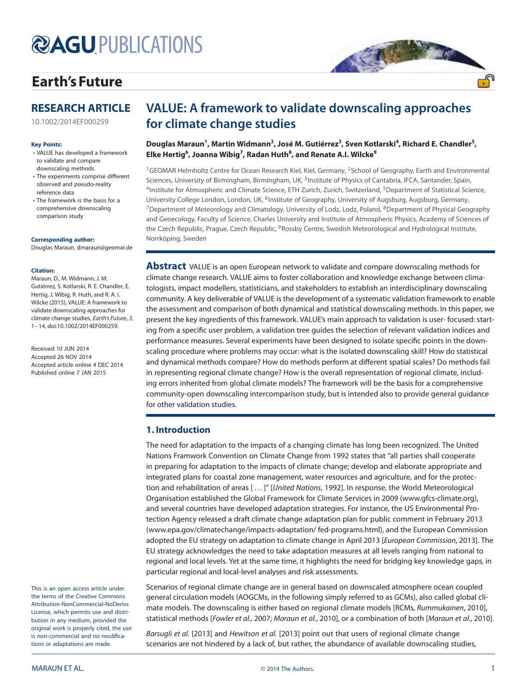# **@AGUPUBLICATIONS**

# **[Earth's Future](http://onlinelibrary.wiley.com/journal/10.1002/%28ISSN%292328-4277)**

# **RESEARCH ARTICLE**

[10.1002/2014EF000259](http://dx.doi.org/10.1002/2014EF000259)

#### **Key Points:**

- VALUE has developed a framework to validate and compare downscaling methods
- The experiments comprise different observed and pseudo-reality reference data
- The framework is the basis for a comprehensive downscaling comparison study

#### **Corresponding author:**

Douglas Maraun, dmaraun@geomar.de

#### **Citation:**

Maraun, D., M. Widmann, J. M. Gutiérrez, S. Kotlarski, R. E. Chandler, E. Hertig, J. Wibig, R. Huth, and R. A. I. Wilcke (2015), VALUE: A framework to validate downscaling approaches for climate change studies, Earth's Future, 3, 1–14, doi[:10.1002/2014EF000259.](http://dx.doi.org/info:doi/10.1002/2014EF000259)

Received 10 JUN 2014 Accepted 26 NOV 2014 Accepted article online 4 DEC 2014 Published online 7 JAN 2015

This is an open access article under the terms of the Creative Commons Attribution-NonCommercial-NoDerivs License, which permits use and distribution in any medium, provided the original work is properly cited, the use is non-commercial and no modifications or adaptations are made.

# **VALUE: A framework to validate downscaling approaches for climate change studies**

A REAL PROPERTY

<u>್ಲ್</u>

**Douglas Maraun1 , Martin Widmann<sup>2</sup> , José M. Gutiérrez3 , Sven Kotlarski<sup>4</sup> , Richard E. Chandler5 , Elke Hertig<sup>6</sup> , Joanna Wibig7 , Radan Huth8 , and Renate A.I. Wilcke<sup>9</sup>**

<sup>1</sup>GEOMAR Helmholtz Centre for Ocean Research Kiel, Kiel, Germany, <sup>2</sup>School of Geography, Earth and Environmental Sciences, University of Birmingham, Birmingham, UK, <sup>3</sup>Institute of Physics of Cantabria, IFCA, Santander, Spain, <sup>4</sup>Institute for Atmospheric and Climate Science, ETH Zurich, Zurich, Switzerland, <sup>5</sup>Department of Statistical Science, University College London, London, UK, 6Institute of Geography, University of Augsburg, Augsburg, Germany, <sup>7</sup> Department of Meteorology and Climatology, University of Lodz, Lodz, Poland, <sup>8</sup> Department of Physical Geography and Geoecology, Faculty of Science, Charles University and Institute of Atmospheric Physics, Academy of Sciences of the Czech Republic, Prague, Czech Republic, <sup>9</sup>Rossby Centre, Swedish Meteorological and Hydrological Institute, Norrköping, Sweden

**Abstract** VALUE is an open European network to validate and compare downscaling methods for climate change research. VALUE aims to foster collaboration and knowledge exchange between climatologists, impact modellers, statisticians, and stakeholders to establish an interdisciplinary downscaling community. A key deliverable of VALUE is the development of a systematic validation framework to enable the assessment and comparison of both dynamical and statistical downscaling methods. In this paper, we present the key ingredients of this framework. VALUE's main approach to validation is user- focused: starting from a specific user problem, a validation tree guides the selection of relevant validation indices and performance measures. Several experiments have been designed to isolate specific points in the downscaling procedure where problems may occur: what is the isolated downscaling skill? How do statistical and dynamical methods compare? How do methods perform at different spatial scales? Do methods fail in representing regional climate change? How is the overall representation of regional climate, including errors inherited from global climate models? The framework will be the basis for a comprehensive community-open downscaling intercomparison study, but is intended also to provide general guidance for other validation studies.

# **1. Introduction**

The need for adaptation to the impacts of a changing climate has long been recognized. The United Nations Framwork Convention on Climate Change from 1992 states that "all parties shall cooperate in preparing for adaptation to the impacts of climate change; develop and elaborate appropriate and integrated plans for coastal zone management, water resources and agriculture, and for the protection and rehabilitation of areas [… ]" [United Nations, 1992]. In response, the World Meteorological Organisation established the Global Framework for Climate Services in 2009 [\(www.gfcs-climate.org\)](http://www.gfcs-climate.org), and several countries have developed adaptation strategies. For instance, the US Environmental Protection Agency released a draft climate change adaptation plan for public comment in February 2013 [\(www.epa.gov/climatechange/impacts-adaptation/](http://www.epa.gov/climatechange/impacts-adaptation/) fed-programs.html), and the European Commission adopted the EU strategy on adaptation to climate change in April 2013 [European Commission, 2013]. The EU strategy acknowledges the need to take adaptation measures at all levels ranging from national to regional and local levels. Yet at the same time, it highlights the need for bridging key knowledge gaps, in particular regional and local-level analyses and risk assessments.

Scenarios of regional climate change are in general based on downscaled atmosphere ocean coupled general circulation models (AOGCMs, in the following simply referred to as GCMs), also called global climate models. The downscaling is either based on regional climate models [RCMs, Rummukainen, 2010], statistical methods [Fowler et al., 2007; Maraun et al., 2010], or a combination of both [Maraun et al., 2010].

Barsugli et al. [2013] and Hewitson et al. [2013] point out that users of regional climate change scenarios are not hindered by a lack of, but rather, the abundance of available downscaling studies,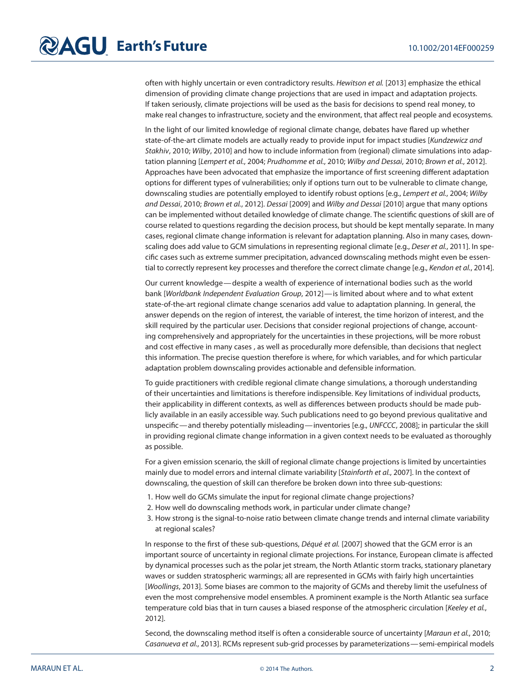often with highly uncertain or even contradictory results. Hewitson et al. [2013] emphasize the ethical dimension of providing climate change projections that are used in impact and adaptation projects. If taken seriously, climate projections will be used as the basis for decisions to spend real money, to make real changes to infrastructure, society and the environment, that affect real people and ecosystems.

In the light of our limited knowledge of regional climate change, debates have flared up whether state-of-the-art climate models are actually ready to provide input for impact studies [Kundzewicz and Stakhiv, 2010; Wilby, 2010] and how to include information from (regional) climate simulations into adaptation planning [Lempert et al., 2004; Prudhomme et al., 2010; Wilby and Dessai, 2010; Brown et al., 2012]. Approaches have been advocated that emphasize the importance of first screening different adaptation options for different types of vulnerabilities; only if options turn out to be vulnerable to climate change, downscaling studies are potentially employed to identify robust options [e.g., Lempert et al., 2004; Wilby and Dessai, 2010; Brown et al., 2012]. Dessai [2009] and Wilby and Dessai [2010] argue that many options can be implemented without detailed knowledge of climate change. The scientific questions of skill are of course related to questions regarding the decision process, but should be kept mentally separate. In many cases, regional climate change information is relevant for adaptation planning. Also in many cases, downscaling does add value to GCM simulations in representing regional climate [e.g., Deser et al., 2011]. In specific cases such as extreme summer precipitation, advanced downscaling methods might even be essential to correctly represent key processes and therefore the correct climate change [e.g., Kendon et al., 2014].

Our current knowledge—despite a wealth of experience of international bodies such as the world bank [Worldbank Independent Evaluation Group, 2012]-is limited about where and to what extent state-of-the-art regional climate change scenarios add value to adaptation planning. In general, the answer depends on the region of interest, the variable of interest, the time horizon of interest, and the skill required by the particular user. Decisions that consider regional projections of change, accounting comprehensively and appropriately for the uncertainties in these projections, will be more robust and cost effective in many cases , as well as procedurally more defensible, than decisions that neglect this information. The precise question therefore is where, for which variables, and for which particular adaptation problem downscaling provides actionable and defensible information.

To guide practitioners with credible regional climate change simulations, a thorough understanding of their uncertainties and limitations is therefore indispensible. Key limitations of individual products, their applicability in different contexts, as well as differences between products should be made publicly available in an easily accessible way. Such publications need to go beyond previous qualitative and unspecific—and thereby potentially misleading—inventories [e.g., UNFCCC, 2008]; in particular the skill in providing regional climate change information in a given context needs to be evaluated as thoroughly as possible.

For a given emission scenario, the skill of regional climate change projections is limited by uncertainties mainly due to model errors and internal climate variability [Stainforth et al., 2007]. In the context of downscaling, the question of skill can therefore be broken down into three sub-questions:

- 1. How well do GCMs simulate the input for regional climate change projections?
- 2. How well do downscaling methods work, in particular under climate change?
- 3. How strong is the signal-to-noise ratio between climate change trends and internal climate variability at regional scales?

In response to the first of these sub-questions, Déqué et al. [2007] showed that the GCM error is an important source of uncertainty in regional climate projections. For instance, European climate is affected by dynamical processes such as the polar jet stream, the North Atlantic storm tracks, stationary planetary waves or sudden stratospheric warmings; all are represented in GCMs with fairly high uncertainties [Woollings, 2013]. Some biases are common to the majority of GCMs and thereby limit the usefulness of even the most comprehensive model ensembles. A prominent example is the North Atlantic sea surface temperature cold bias that in turn causes a biased response of the atmospheric circulation [Keeley et al., 2012].

Second, the downscaling method itself is often a considerable source of uncertainty [Maraun et al., 2010; Casanueva et al., 2013]. RCMs represent sub-grid processes by parameterizations—semi-empirical models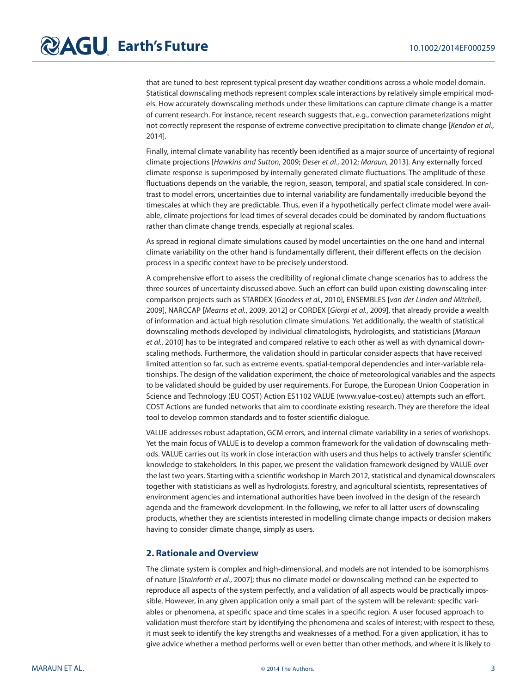that are tuned to best represent typical present day weather conditions across a whole model domain. Statistical downscaling methods represent complex scale interactions by relatively simple empirical models. How accurately downscaling methods under these limitations can capture climate change is a matter of current research. For instance, recent research suggests that, e.g., convection parameterizations might not correctly represent the response of extreme convective precipitation to climate change [Kendon et al., 2014].

Finally, internal climate variability has recently been identified as a major source of uncertainty of regional climate projections [Hawkins and Sutton, 2009; Deser et al., 2012; Maraun, 2013]. Any externally forced climate response is superimposed by internally generated climate fluctuations. The amplitude of these fluctuations depends on the variable, the region, season, temporal, and spatial scale considered. In contrast to model errors, uncertainties due to internal variability are fundamentally irreducible beyond the timescales at which they are predictable. Thus, even if a hypothetically perfect climate model were available, climate projections for lead times of several decades could be dominated by random fluctuations rather than climate change trends, especially at regional scales.

As spread in regional climate simulations caused by model uncertainties on the one hand and internal climate variability on the other hand is fundamentally different, their different effects on the decision process in a specific context have to be precisely understood.

A comprehensive effort to assess the credibility of regional climate change scenarios has to address the three sources of uncertainty discussed above. Such an effort can build upon existing downscaling intercomparison projects such as STARDEX [Goodess et al., 2010], ENSEMBLES [van der Linden and Mitchell, 2009], NARCCAP [Mearns et al., 2009, 2012] or CORDEX [Giorgi et al., 2009], that already provide a wealth of information and actual high resolution climate simulations. Yet additionally, the wealth of statistical downscaling methods developed by individual climatologists, hydrologists, and statisticians [Maraun et al., 2010] has to be integrated and compared relative to each other as well as with dynamical downscaling methods. Furthermore, the validation should in particular consider aspects that have received limited attention so far, such as extreme events, spatial-temporal dependencies and inter-variable relationships. The design of the validation experiment, the choice of meteorological variables and the aspects to be validated should be guided by user requirements. For Europe, the European Union Cooperation in Science and Technology (EU COST) Action ES1102 VALUE [\(www.value-cost.eu\)](http://www.value-cost.eu) attempts such an effort. COST Actions are funded networks that aim to coordinate existing research. They are therefore the ideal tool to develop common standards and to foster scientific dialogue.

VALUE addresses robust adaptation, GCM errors, and internal climate variability in a series of workshops. Yet the main focus of VALUE is to develop a common framework for the validation of downscaling methods. VALUE carries out its work in close interaction with users and thus helps to actively transfer scientific knowledge to stakeholders. In this paper, we present the validation framework designed by VALUE over the last two years. Starting with a scientific workshop in March 2012, statistical and dynamical downscalers together with statisticians as well as hydrologists, forestry, and agricultural scientists, representatives of environment agencies and international authorities have been involved in the design of the research agenda and the framework development. In the following, we refer to all latter users of downscaling products, whether they are scientists interested in modelling climate change impacts or decision makers having to consider climate change, simply as users.

# **2. Rationale and Overview**

The climate system is complex and high-dimensional, and models are not intended to be isomorphisms of nature [Stainforth et al., 2007]; thus no climate model or downscaling method can be expected to reproduce all aspects of the system perfectly, and a validation of all aspects would be practically impossible. However, in any given application only a small part of the system will be relevant: specific variables or phenomena, at specific space and time scales in a specific region. A user focused approach to validation must therefore start by identifying the phenomena and scales of interest; with respect to these, it must seek to identify the key strengths and weaknesses of a method. For a given application, it has to give advice whether a method performs well or even better than other methods, and where it is likely to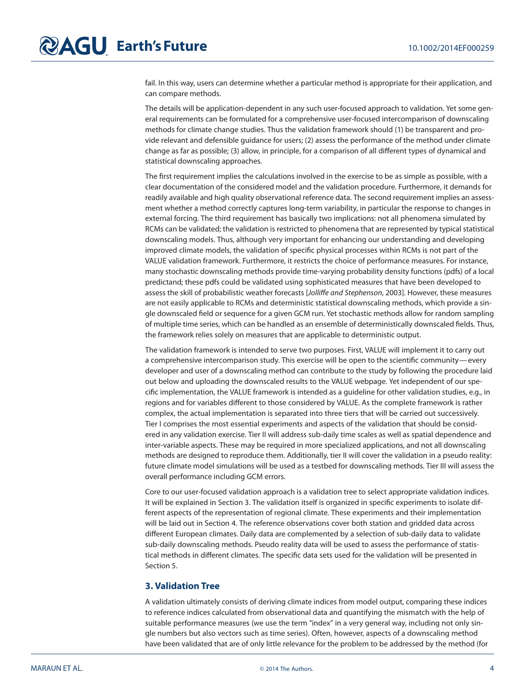fail. In this way, users can determine whether a particular method is appropriate for their application, and can compare methods.

The details will be application-dependent in any such user-focused approach to validation. Yet some general requirements can be formulated for a comprehensive user-focused intercomparison of downscaling methods for climate change studies. Thus the validation framework should (1) be transparent and provide relevant and defensible guidance for users; (2) assess the performance of the method under climate change as far as possible; (3) allow, in principle, for a comparison of all different types of dynamical and statistical downscaling approaches.

The first requirement implies the calculations involved in the exercise to be as simple as possible, with a clear documentation of the considered model and the validation procedure. Furthermore, it demands for readily available and high quality observational reference data. The second requirement implies an assessment whether a method correctly captures long-term variability, in particular the response to changes in external forcing. The third requirement has basically two implications: not all phenomena simulated by RCMs can be validated; the validation is restricted to phenomena that are represented by typical statistical downscaling models. Thus, although very important for enhancing our understanding and developing improved climate models, the validation of specific physical processes within RCMs is not part of the VALUE validation framework. Furthermore, it restricts the choice of performance measures. For instance, many stochastic downscaling methods provide time-varying probability density functions (pdfs) of a local predictand; these pdfs could be validated using sophisticated measures that have been developed to assess the skill of probabilistic weather forecasts [Jolliffe and Stephenson, 2003]. However, these measures are not easily applicable to RCMs and deterministic statistical downscaling methods, which provide a single downscaled field or sequence for a given GCM run. Yet stochastic methods allow for random sampling of multiple time series, which can be handled as an ensemble of deterministically downscaled fields. Thus, the framework relies solely on measures that are applicable to deterministic output.

The validation framework is intended to serve two purposes. First, VALUE will implement it to carry out a comprehensive intercomparison study. This exercise will be open to the scientific community—every developer and user of a downscaling method can contribute to the study by following the procedure laid out below and uploading the downscaled results to the VALUE webpage. Yet independent of our specific implementation, the VALUE framework is intended as a guideline for other validation studies, e.g., in regions and for variables different to those considered by VALUE. As the complete framework is rather complex, the actual implementation is separated into three tiers that will be carried out successively. Tier I comprises the most essential experiments and aspects of the validation that should be considered in any validation exercise. Tier II will address sub-daily time scales as well as spatial dependence and inter-variable aspects. These may be required in more specialized applications, and not all downscaling methods are designed to reproduce them. Additionally, tier II will cover the validation in a pseudo reality: future climate model simulations will be used as a testbed for downscaling methods. Tier III will assess the overall performance including GCM errors.

Core to our user-focused validation approach is a validation tree to select appropriate validation indices. It will be explained in Section 3. The validation itself is organized in specific experiments to isolate different aspects of the representation of regional climate. These experiments and their implementation will be laid out in Section 4. The reference observations cover both station and gridded data across different European climates. Daily data are complemented by a selection of sub-daily data to validate sub-daily downscaling methods. Pseudo reality data will be used to assess the performance of statistical methods in different climates. The specific data sets used for the validation will be presented in Section 5.

## **3. Validation Tree**

A validation ultimately consists of deriving climate indices from model output, comparing these indices to reference indices calculated from observational data and quantifying the mismatch with the help of suitable performance measures (we use the term "index" in a very general way, including not only single numbers but also vectors such as time series). Often, however, aspects of a downscaling method have been validated that are of only little relevance for the problem to be addressed by the method (for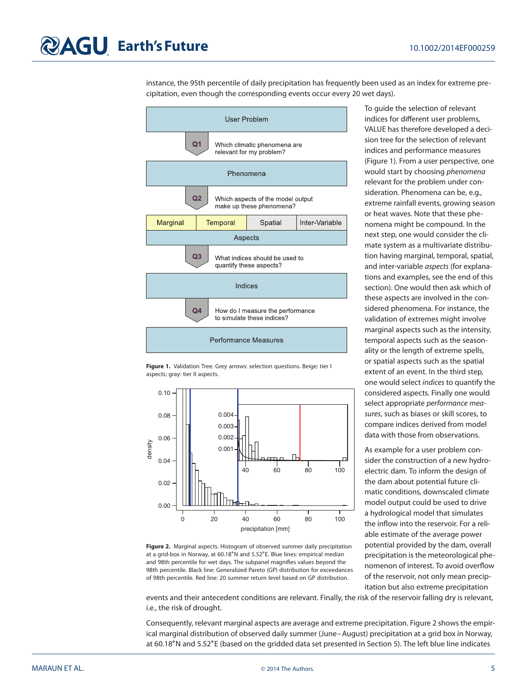instance, the 95th percentile of daily precipitation has frequently been used as an index for extreme precipitation, even though the corresponding events occur every 20 wet days).



**Figure 1.** Validation Tree. Grey arrows: selection questions. Beige: tier I aspects; gray: tier II aspects.



**Figure 2.** Marginal aspects. Histogram of observed summer daily precipitation at a grid-box in Norway, at 60.18∘N and 5.52∘E. Blue lines: empirical median and 98th percentile for wet days. The subpanel magnifies values beyond the 98th percentile. Black line: Generalized Pareto (GP) distribution for exceedances of 98th percentile. Red line: 20 summer return level based on GP distribution.

To guide the selection of relevant indices for different user problems, VALUE has therefore developed a decision tree for the selection of relevant indices and performance measures (Figure 1). From a user perspective, one would start by choosing phenomena relevant for the problem under consideration. Phenomena can be, e.g., extreme rainfall events, growing season or heat waves. Note that these phenomena might be compound. In the next step, one would consider the climate system as a multivariate distribution having marginal, temporal, spatial, and inter-variable aspects (for explanations and examples, see the end of this section). One would then ask which of these aspects are involved in the considered phenomena. For instance, the validation of extremes might involve marginal aspects such as the intensity, temporal aspects such as the seasonality or the length of extreme spells, or spatial aspects such as the spatial extent of an event. In the third step, one would select indices to quantify the considered aspects. Finally one would select appropriate performance measures, such as biases or skill scores, to compare indices derived from model data with those from observations.

As example for a user problem consider the construction of a new hydroelectric dam. To inform the design of the dam about potential future climatic conditions, downscaled climate model output could be used to drive a hydrological model that simulates the inflow into the reservoir. For a reliable estimate of the average power potential provided by the dam, overall precipitation is the meteorological phenomenon of interest. To avoid overflow of the reservoir, not only mean precipitation but also extreme precipitation

events and their antecedent conditions are relevant. Finally, the risk of the reservoir falling dry is relevant, i.e., the risk of drought.

Consequently, relevant marginal aspects are average and extreme precipitation. Figure 2 shows the empirical marginal distribution of observed daily summer (June–August) precipitation at a grid box in Norway, at 60.18∘N and 5.52∘E (based on the gridded data set presented in Section 5). The left blue line indicates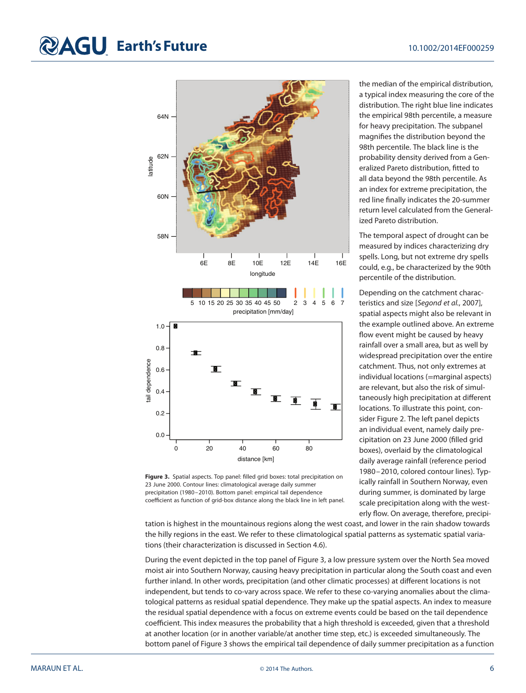# **Earth's Future** 10.1002/2014EF000259





**Figure 3.** Spatial aspects. Top panel: filled grid boxes: total precipitation on 23 June 2000. Contour lines: climatological average daily summer precipitation (1980–2010). Bottom panel: empirical tail dependence coefficient as function of grid-box distance along the black line in left panel.

the median of the empirical distribution, a typical index measuring the core of the distribution. The right blue line indicates the empirical 98th percentile, a measure for heavy precipitation. The subpanel magnifies the distribution beyond the 98th percentile. The black line is the probability density derived from a Generalized Pareto distribution, fitted to all data beyond the 98th percentile. As an index for extreme precipitation, the red line finally indicates the 20-summer return level calculated from the Generalized Pareto distribution.

The temporal aspect of drought can be measured by indices characterizing dry spells. Long, but not extreme dry spells could, e.g., be characterized by the 90th percentile of the distribution.

Depending on the catchment characteristics and size [Segond et al., 2007], spatial aspects might also be relevant in the example outlined above. An extreme flow event might be caused by heavy rainfall over a small area, but as well by widespread precipitation over the entire catchment. Thus, not only extremes at individual locations (=marginal aspects) are relevant, but also the risk of simultaneously high precipitation at different locations. To illustrate this point, consider Figure 2. The left panel depicts an individual event, namely daily precipitation on 23 June 2000 (filled grid boxes), overlaid by the climatological daily average rainfall (reference period 1980–2010, colored contour lines). Typically rainfall in Southern Norway, even during summer, is dominated by large scale precipitation along with the westerly flow. On average, therefore, precipi-

tation is highest in the mountainous regions along the west coast, and lower in the rain shadow towards the hilly regions in the east. We refer to these climatological spatial patterns as systematic spatial variations (their characterization is discussed in Section 4.6).

During the event depicted in the top panel of Figure 3, a low pressure system over the North Sea moved moist air into Southern Norway, causing heavy precipitation in particular along the South coast and even further inland. In other words, precipitation (and other climatic processes) at different locations is not independent, but tends to co-vary across space. We refer to these co-varying anomalies about the climatological patterns as residual spatial dependence. They make up the spatial aspects. An index to measure the residual spatial dependence with a focus on extreme events could be based on the tail dependence coefficient. This index measures the probability that a high threshold is exceeded, given that a threshold at another location (or in another variable/at another time step, etc.) is exceeded simultaneously. The bottom panel of Figure 3 shows the empirical tail dependence of daily summer precipitation as a function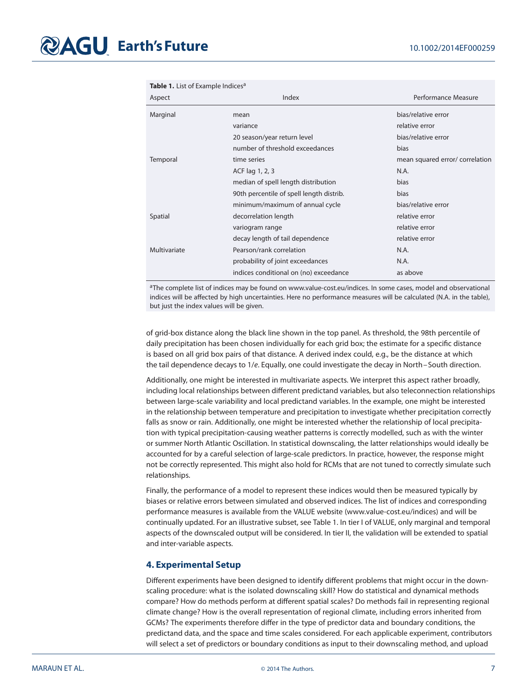| Aspect       | Index                                    | Performance Measure            |
|--------------|------------------------------------------|--------------------------------|
| Marginal     | mean                                     | bias/relative error            |
|              | variance                                 | relative error                 |
|              | 20 season/year return level              | bias/relative error            |
|              | number of threshold exceedances          | <b>bias</b>                    |
| Temporal     | time series                              | mean squared error/correlation |
|              | ACF lag 1, 2, 3                          | N.A.                           |
|              | median of spell length distribution      | <b>bias</b>                    |
|              | 90th percentile of spell length distrib. | <b>bias</b>                    |
|              | minimum/maximum of annual cycle          | bias/relative error            |
| Spatial      | decorrelation length                     | relative error                 |
|              | variogram range                          | relative error                 |
|              | decay length of tail dependence          | relative error                 |
| Multivariate | Pearson/rank correlation                 | N.A.                           |
|              | probability of joint exceedances         | N.A.                           |
|              | indices conditional on (no) exceedance   | as above                       |

**Table 1.** List of Example Indicesa

aThe complete list of indices may be found on [www.value-cost.eu/indices.](http://www.value-cost.eu/indices) In some cases, model and observational indices will be affected by high uncertainties. Here no performance measures will be calculated (N.A. in the table), but just the index values will be given.

of grid-box distance along the black line shown in the top panel. As threshold, the 98th percentile of daily precipitation has been chosen individually for each grid box; the estimate for a specific distance is based on all grid box pairs of that distance. A derived index could, e.g., be the distance at which the tail dependence decays to 1/e. Equally, one could investigate the decay in North–South direction.

Additionally, one might be interested in multivariate aspects. We interpret this aspect rather broadly, including local relationships between different predictand variables, but also teleconnection relationships between large-scale variability and local predictand variables. In the example, one might be interested in the relationship between temperature and precipitation to investigate whether precipitation correctly falls as snow or rain. Additionally, one might be interested whether the relationship of local precipitation with typical precipitation-causing weather patterns is correctly modelled, such as with the winter or summer North Atlantic Oscillation. In statistical downscaling, the latter relationships would ideally be accounted for by a careful selection of large-scale predictors. In practice, however, the response might not be correctly represented. This might also hold for RCMs that are not tuned to correctly simulate such relationships.

Finally, the performance of a model to represent these indices would then be measured typically by biases or relative errors between simulated and observed indices. The list of indices and corresponding performance measures is available from the VALUE website [\(www.value-cost.eu/indices\)](http://www.value-cost.eu/indices) and will be continually updated. For an illustrative subset, see Table 1. In tier I of VALUE, only marginal and temporal aspects of the downscaled output will be considered. In tier II, the validation will be extended to spatial and inter-variable aspects.

# **4. Experimental Setup**

Different experiments have been designed to identify different problems that might occur in the downscaling procedure: what is the isolated downscaling skill? How do statistical and dynamical methods compare? How do methods perform at different spatial scales? Do methods fail in representing regional climate change? How is the overall representation of regional climate, including errors inherited from GCMs? The experiments therefore differ in the type of predictor data and boundary conditions, the predictand data, and the space and time scales considered. For each applicable experiment, contributors will select a set of predictors or boundary conditions as input to their downscaling method, and upload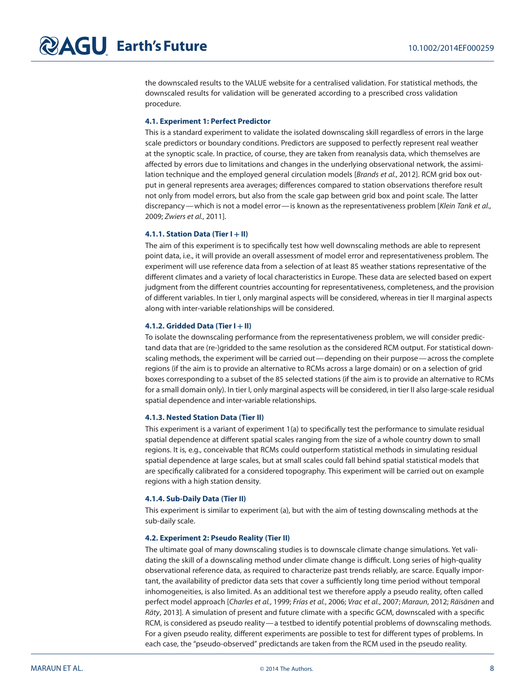the downscaled results to the VALUE website for a centralised validation. For statistical methods, the downscaled results for validation will be generated according to a prescribed cross validation procedure.

#### **4.1. Experiment 1: Perfect Predictor**

This is a standard experiment to validate the isolated downscaling skill regardless of errors in the large scale predictors or boundary conditions. Predictors are supposed to perfectly represent real weather at the synoptic scale. In practice, of course, they are taken from reanalysis data, which themselves are affected by errors due to limitations and changes in the underlying observational network, the assimilation technique and the employed general circulation models [Brands et al., 2012]. RCM grid box output in general represents area averages; differences compared to station observations therefore result not only from model errors, but also from the scale gap between grid box and point scale. The latter discrepancy—which is not a model error—is known as the representativeness problem [Klein Tank et al., 2009; Zwiers et al., 2011].

#### **4.1.1. Station Data (Tier I + II)**

The aim of this experiment is to specifically test how well downscaling methods are able to represent point data, i.e., it will provide an overall assessment of model error and representativeness problem. The experiment will use reference data from a selection of at least 85 weather stations representative of the different climates and a variety of local characteristics in Europe. These data are selected based on expert judgment from the different countries accounting for representativeness, completeness, and the provision of different variables. In tier I, only marginal aspects will be considered, whereas in tier II marginal aspects along with inter-variable relationships will be considered.

#### **4.1.2. Gridded Data (Tier I + II)**

To isolate the downscaling performance from the representativeness problem, we will consider predictand data that are (re-)gridded to the same resolution as the considered RCM output. For statistical downscaling methods, the experiment will be carried out—depending on their purpose—across the complete regions (if the aim is to provide an alternative to RCMs across a large domain) or on a selection of grid boxes corresponding to a subset of the 85 selected stations (if the aim is to provide an alternative to RCMs for a small domain only). In tier I, only marginal aspects will be considered, in tier II also large-scale residual spatial dependence and inter-variable relationships.

#### **4.1.3. Nested Station Data (Tier II)**

This experiment is a variant of experiment 1(a) to specifically test the performance to simulate residual spatial dependence at different spatial scales ranging from the size of a whole country down to small regions. It is, e.g., conceivable that RCMs could outperform statistical methods in simulating residual spatial dependence at large scales, but at small scales could fall behind spatial statistical models that are specifically calibrated for a considered topography. This experiment will be carried out on example regions with a high station density.

#### **4.1.4. Sub-Daily Data (Tier II)**

This experiment is similar to experiment (a), but with the aim of testing downscaling methods at the sub-daily scale.

### **4.2. Experiment 2: Pseudo Reality (Tier II)**

The ultimate goal of many downscaling studies is to downscale climate change simulations. Yet validating the skill of a downscaling method under climate change is difficult. Long series of high-quality observational reference data, as required to characterize past trends reliably, are scarce. Equally important, the availability of predictor data sets that cover a sufficiently long time period without temporal inhomogeneities, is also limited. As an additional test we therefore apply a pseudo reality, often called perfect model approach [Charles et al., 1999; Frías et al., 2006; Vrac et al., 2007; Maraun, 2012; Räisänen and Räty, 2013]. A simulation of present and future climate with a specific GCM, downscaled with a specific RCM, is considered as pseudo reality—a testbed to identify potential problems of downscaling methods. For a given pseudo reality, different experiments are possible to test for different types of problems. In each case, the "pseudo-observed" predictands are taken from the RCM used in the pseudo reality.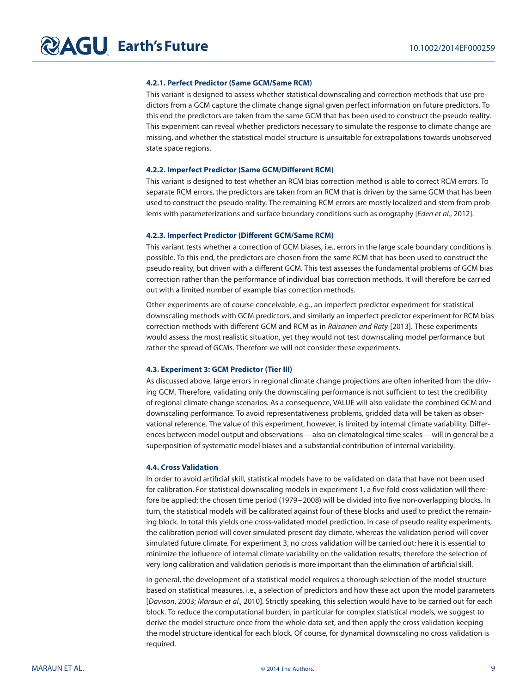#### **4.2.1. Perfect Predictor (Same GCM/Same RCM)**

This variant is designed to assess whether statistical downscaling and correction methods that use predictors from a GCM capture the climate change signal given perfect information on future predictors. To this end the predictors are taken from the same GCM that has been used to construct the pseudo reality. This experiment can reveal whether predictors necessary to simulate the response to climate change are missing, and whether the statistical model structure is unsuitable for extrapolations towards unobserved state space regions.

#### **4.2.2. Imperfect Predictor (Same GCM/Different RCM)**

This variant is designed to test whether an RCM bias correction method is able to correct RCM errors. To separate RCM errors, the predictors are taken from an RCM that is driven by the same GCM that has been used to construct the pseudo reality. The remaining RCM errors are mostly localized and stem from problems with parameterizations and surface boundary conditions such as orography [Eden et al., 2012].

#### **4.2.3. Imperfect Predictor (Different GCM/Same RCM)**

This variant tests whether a correction of GCM biases, i.e., errors in the large scale boundary conditions is possible. To this end, the predictors are chosen from the same RCM that has been used to construct the pseudo reality, but driven with a different GCM. This test assesses the fundamental problems of GCM bias correction rather than the performance of individual bias correction methods. It will therefore be carried out with a limited number of example bias correction methods.

Other experiments are of course conceivable, e.g., an imperfect predictor experiment for statistical downscaling methods with GCM predictors, and similarly an imperfect predictor experiment for RCM bias correction methods with different GCM and RCM as in Räisänen and Räty [2013]. These experiments would assess the most realistic situation, yet they would not test downscaling model performance but rather the spread of GCMs. Therefore we will not consider these experiments.

#### **4.3. Experiment 3: GCM Predictor (Tier III)**

As discussed above, large errors in regional climate change projections are often inherited from the driving GCM. Therefore, validating only the downscaling performance is not sufficient to test the credibility of regional climate change scenarios. As a consequence, VALUE will also validate the combined GCM and downscaling performance. To avoid representativeness problems, gridded data will be taken as observational reference. The value of this experiment, however, is limited by internal climate variability. Differences between model output and observations—also on climatological time scales—will in general be a superposition of systematic model biases and a substantial contribution of internal variability.

#### **4.4. Cross Validation**

In order to avoid artificial skill, statistical models have to be validated on data that have not been used for calibration. For statistical downscaling models in experiment 1, a five-fold cross validation will therefore be applied: the chosen time period (1979–2008) will be divided into five non-overlapping blocks. In turn, the statistical models will be calibrated against four of these blocks and used to predict the remaining block. In total this yields one cross-validated model prediction. In case of pseudo reality experiments, the calibration period will cover simulated present day climate, whereas the validation period will cover simulated future climate. For experiment 3, no cross validation will be carried out: here it is essential to minimize the influence of internal climate variability on the validation results; therefore the selection of very long calibration and validation periods is more important than the elimination of artificial skill.

In general, the development of a statistical model requires a thorough selection of the model structure based on statistical measures, i.e., a selection of predictors and how these act upon the model parameters [Davison, 2003; Maraun et al., 2010]. Strictly speaking, this selection would have to be carried out for each block. To reduce the computational burden, in particular for complex statistical models, we suggest to derive the model structure once from the whole data set, and then apply the cross validation keeping the model structure identical for each block. Of course, for dynamical downscaling no cross validation is required.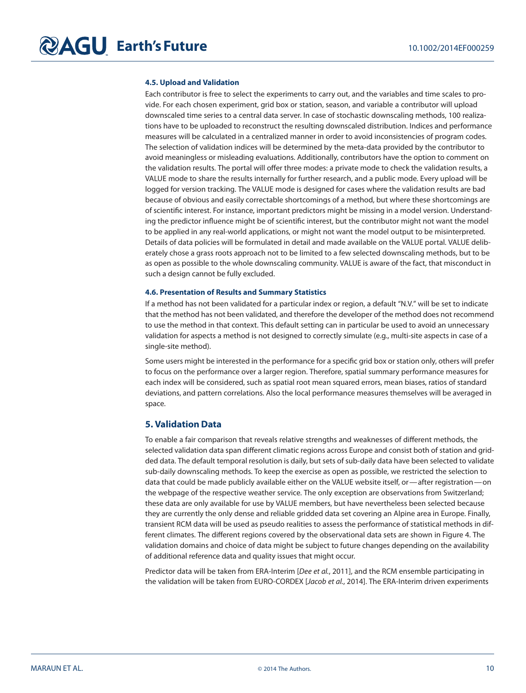#### **4.5. Upload and Validation**

Each contributor is free to select the experiments to carry out, and the variables and time scales to provide. For each chosen experiment, grid box or station, season, and variable a contributor will upload downscaled time series to a central data server. In case of stochastic downscaling methods, 100 realizations have to be uploaded to reconstruct the resulting downscaled distribution. Indices and performance measures will be calculated in a centralized manner in order to avoid inconsistencies of program codes. The selection of validation indices will be determined by the meta-data provided by the contributor to avoid meaningless or misleading evaluations. Additionally, contributors have the option to comment on the validation results. The portal will offer three modes: a private mode to check the validation results, a VALUE mode to share the results internally for further research, and a public mode. Every upload will be logged for version tracking. The VALUE mode is designed for cases where the validation results are bad because of obvious and easily correctable shortcomings of a method, but where these shortcomings are of scientific interest. For instance, important predictors might be missing in a model version. Understanding the predictor influence might be of scientific interest, but the contributor might not want the model to be applied in any real-world applications, or might not want the model output to be misinterpreted. Details of data policies will be formulated in detail and made available on the VALUE portal. VALUE deliberately chose a grass roots approach not to be limited to a few selected downscaling methods, but to be as open as possible to the whole downscaling community. VALUE is aware of the fact, that misconduct in such a design cannot be fully excluded.

### **4.6. Presentation of Results and Summary Statistics**

If a method has not been validated for a particular index or region, a default "N.V." will be set to indicate that the method has not been validated, and therefore the developer of the method does not recommend to use the method in that context. This default setting can in particular be used to avoid an unnecessary validation for aspects a method is not designed to correctly simulate (e.g., multi-site aspects in case of a single-site method).

Some users might be interested in the performance for a specific grid box or station only, others will prefer to focus on the performance over a larger region. Therefore, spatial summary performance measures for each index will be considered, such as spatial root mean squared errors, mean biases, ratios of standard deviations, and pattern correlations. Also the local performance measures themselves will be averaged in space.

# **5. Validation Data**

To enable a fair comparison that reveals relative strengths and weaknesses of different methods, the selected validation data span different climatic regions across Europe and consist both of station and gridded data. The default temporal resolution is daily, but sets of sub-daily data have been selected to validate sub-daily downscaling methods. To keep the exercise as open as possible, we restricted the selection to data that could be made publicly available either on the VALUE website itself, or—after registration—on the webpage of the respective weather service. The only exception are observations from Switzerland; these data are only available for use by VALUE members, but have nevertheless been selected because they are currently the only dense and reliable gridded data set covering an Alpine area in Europe. Finally, transient RCM data will be used as pseudo realities to assess the performance of statistical methods in different climates. The different regions covered by the observational data sets are shown in Figure 4. The validation domains and choice of data might be subject to future changes depending on the availability of additional reference data and quality issues that might occur.

Predictor data will be taken from ERA-Interim [Dee et al., 2011], and the RCM ensemble participating in the validation will be taken from EURO-CORDEX [Jacob et al., 2014]. The ERA-Interim driven experiments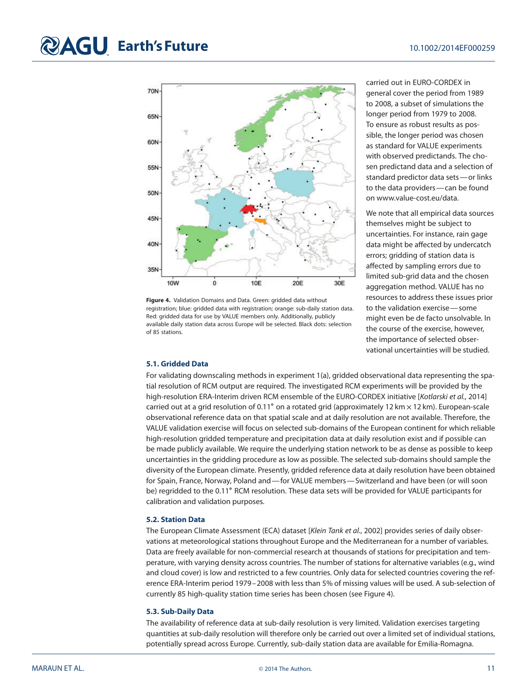

**Figure 4.** Validation Domains and Data. Green: gridded data without registration; blue: gridded data with registration; orange: sub-daily station data. Red: gridded data for use by VALUE members only. Additionally, publicly available daily station data across Europe will be selected. Black dots: selection of 85 stations.

carried out in EURO-CORDEX in general cover the period from 1989 to 2008, a subset of simulations the longer period from 1979 to 2008. To ensure as robust results as possible, the longer period was chosen as standard for VALUE experiments with observed predictands. The chosen predictand data and a selection of standard predictor data sets—or links to the data providers—can be found on [www.value-cost.eu/data.](http://www.value-cost.eu/data)

We note that all empirical data sources themselves might be subject to uncertainties. For instance, rain gage data might be affected by undercatch errors; gridding of station data is affected by sampling errors due to limited sub-grid data and the chosen aggregation method. VALUE has no resources to address these issues prior to the validation exercise—some might even be de facto unsolvable. In the course of the exercise, however, the importance of selected observational uncertainties will be studied.

## **5.1. Gridded Data**

For validating downscaling methods in experiment 1(a), gridded observational data representing the spatial resolution of RCM output are required. The investigated RCM experiments will be provided by the high-resolution ERA-Interim driven RCM ensemble of the EURO-CORDEX initiative [Kotlarski et al., 2014] carried out at a grid resolution of 0.11∘ on a rotated grid (approximately 12 km × 12 km). European-scale observational reference data on that spatial scale and at daily resolution are not available. Therefore, the VALUE validation exercise will focus on selected sub-domains of the European continent for which reliable high-resolution gridded temperature and precipitation data at daily resolution exist and if possible can be made publicly available. We require the underlying station network to be as dense as possible to keep uncertainties in the gridding procedure as low as possible. The selected sub-domains should sample the diversity of the European climate. Presently, gridded reference data at daily resolution have been obtained for Spain, France, Norway, Poland and—for VALUE members—Switzerland and have been (or will soon be) regridded to the 0.11∘ RCM resolution. These data sets will be provided for VALUE participants for calibration and validation purposes.

## **5.2. Station Data**

The European Climate Assessment (ECA) dataset [Klein Tank et al., 2002] provides series of daily observations at meteorological stations throughout Europe and the Mediterranean for a number of variables. Data are freely available for non-commercial research at thousands of stations for precipitation and temperature, with varying density across countries. The number of stations for alternative variables (e.g., wind and cloud cover) is low and restricted to a few countries. Only data for selected countries covering the reference ERA-Interim period 1979–2008 with less than 5% of missing values will be used. A sub-selection of currently 85 high-quality station time series has been chosen (see Figure 4).

#### **5.3. Sub-Daily Data**

The availability of reference data at sub-daily resolution is very limited. Validation exercises targeting quantities at sub-daily resolution will therefore only be carried out over a limited set of individual stations, potentially spread across Europe. Currently, sub-daily station data are available for Emilia-Romagna.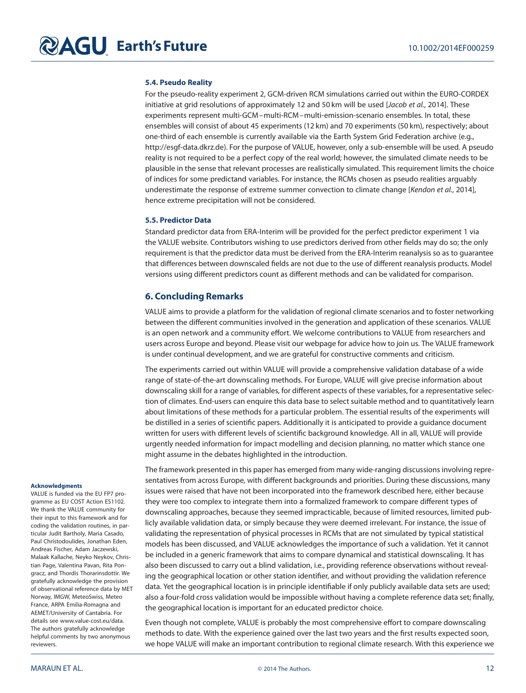#### **5.4. Pseudo Reality**

For the pseudo-reality experiment 2, GCM-driven RCM simulations carried out within the EURO-CORDEX initiative at grid resolutions of approximately 12 and 50 km will be used [Jacob et al., 2014]. These experiments represent multi-GCM–multi-RCM–multi-emission-scenario ensembles. In total, these ensembles will consist of about 45 experiments (12 km) and 70 experiments (50 km), respectively; about one-third of each ensemble is currently available via the Earth System Grid Federation archive (e.g., [http://esgf-data.dkrz.de\)](http://esgf-data.dkrz.de). For the purpose of VALUE, however, only a sub-ensemble will be used. A pseudo reality is not required to be a perfect copy of the real world; however, the simulated climate needs to be plausible in the sense that relevant processes are realistically simulated. This requirement limits the choice of indices for some predictand variables. For instance, the RCMs chosen as pseudo realities arguably underestimate the response of extreme summer convection to climate change [Kendon et al., 2014], hence extreme precipitation will not be considered.

#### **5.5. Predictor Data**

Standard predictor data from ERA-Interim will be provided for the perfect predictor experiment 1 via the VALUE website. Contributors wishing to use predictors derived from other fields may do so; the only requirement is that the predictor data must be derived from the ERA-Interim reanalysis so as to guarantee that differences between downscaled fields are not due to the use of different reanalysis products. Model versions using different predictors count as different methods and can be validated for comparison.

## **6. Concluding Remarks**

VALUE aims to provide a platform for the validation of regional climate scenarios and to foster networking between the different communities involved in the generation and application of these scenarios. VALUE is an open network and a community effort. We welcome contributions to VALUE from researchers and users across Europe and beyond. Please visit our webpage for advice how to join us. The VALUE framework is under continual development, and we are grateful for constructive comments and criticism.

The experiments carried out within VALUE will provide a comprehensive validation database of a wide range of state-of-the-art downscaling methods. For Europe, VALUE will give precise information about downscaling skill for a range of variables, for different aspects of these variables, for a representative selection of climates. End-users can enquire this data base to select suitable method and to quantitatively learn about limitations of these methods for a particular problem. The essential results of the experiments will be distilled in a series of scientific papers. Additionally it is anticipated to provide a guidance document written for users with different levels of scientific background knowledge. All in all, VALUE will provide urgently needed information for impact modelling and decision planning, no matter which stance one might assume in the debates highlighted in the introduction.

The framework presented in this paper has emerged from many wide-ranging discussions involving representatives from across Europe, with different backgrounds and priorities. During these discussions, many issues were raised that have not been incorporated into the framework described here, either because they were too complex to integrate them into a formalized framework to compare different types of downscaling approaches, because they seemed impracticable, because of limited resources, limited publicly available validation data, or simply because they were deemed irrelevant. For instance, the issue of validating the representation of physical processes in RCMs that are not simulated by typical statistical models has been discussed, and VALUE acknowledges the importance of such a validation. Yet it cannot be included in a generic framework that aims to compare dynamical and statistical downscaling. It has also been discussed to carry out a blind validation, i.e., providing reference observations without revealing the geographical location or other station identifier, and without providing the validation reference data. Yet the geographical location is in principle identifiable if only publicly available data sets are used; also a four-fold cross validation would be impossible without having a complete reference data set; finally, the geographical location is important for an educated predictor choice.

Even though not complete, VALUE is probably the most comprehensive effort to compare downscaling methods to date. With the experience gained over the last two years and the first results expected soon, we hope VALUE will make an important contribution to regional climate research. With this experience we

#### **Acknowledgments**

VALUE is funded via the EU FP7 programme as EU COST Action ES1102. We thank the VALUE community for their input to this framework and for coding the validation routines, in particular Judit Bartholy, Maria Casado, Paul Christodoulides, Jonathan Eden, Andreas Fischer, Adam Jaczewski, Malaak Kallache, Neyko Neykov, Christian Page, Valentina Pavan, Rita Pongracz, and Thordis Thorarinsdottir. We gratefully acknowledge the provision of observational reference data by MET Norway, IMGW, MeteoSwiss, Meteo France, ARPA Emilia-Romagna and AEMET/University of Cantabria. For details see [www.value-cost.eu/data.](http://www.value-cost.eu/data) The authors gratefully acknowledge helpful comments by two anonymous reviewers.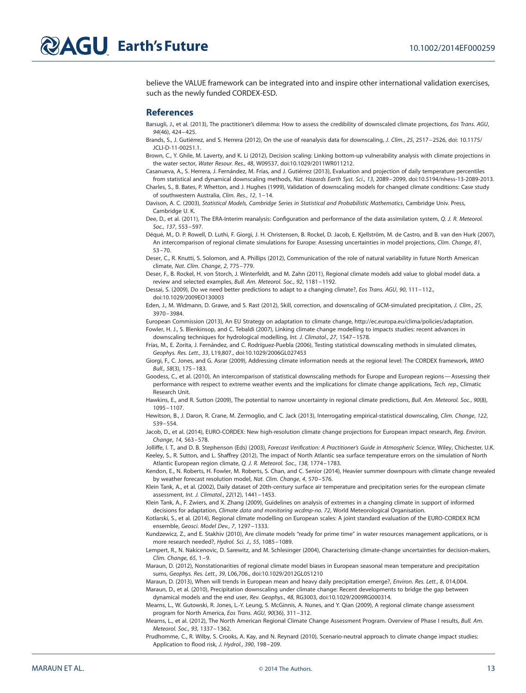believe the VALUE framework can be integrated into and inspire other international validation exercises, such as the newly funded CORDEX-ESD.

#### **References**

- Barsugli, J., et al. (2013), The practitioner's dilemma: How to assess the credibility of downscaled climate projections, Eos Trans. AGU, 94(46), 424–425.
- Brands, S., J. Gutiérrez, and S. Herrera (2012), On the use of reanalysis data for downscaling, J. Clim., 25, 2517–2526, doi: 10.1175/ JCLI-D-11-00251.1.
- Brown, C., Y. Ghile, M. Laverty, and K. Li (2012), Decision scaling: Linking bottom-up vulnerability analysis with climate projections in the water sector, Water Resour. Res., 48, W09537, doi:10.1029/2011WR011212.

Casanueva, A., S. Herrera, J. Fernández, M. Frías, and J. Gutiérrez (2013), Evaluation and projection of daily temperature percentiles from statistical and dynamical downscaling methods, Nat. Hazards Earth Syst. Sci., 13, 2089–2099, doi:10.5194/nhess-13-2089-2013.

Charles, S., B. Bates, P. Whetton, and J. Hughes (1999), Validation of downscaling models for changed climate conditions: Case study of southwestern Australia, Clim. Res., 12, 1–14.

Davison, A. C. (2003), Statistical Models, Cambridge Series in Statistical and Probabilistic Mathematics, Cambridge Univ. Press, Cambridge U. K.

Dee, D., et al. (2011), The ERA-Interim reanalysis: Configuration and performance of the data assimilation system, Q. J. R. Meteorol. Soc., 137, 553–597.

Déqué, M., D. P. Rowell, D. Luthi, F. Giorgi, J. H. Christensen, B. Rockel, D. Jacob, E. Kjellström, M. de Castro, and B. van den Hurk (2007), An intercomparison of regional climate simulations for Europe: Assessing uncertainties in model projections, Clim. Change, 81, 53–70.

Deser, C., R. Knutti, S. Solomon, and A. Phillips (2012), Communication of the role of natural variability in future North American climate, Nat. Clim. Change, 2, 775–779.

Deser, F., B. Rockel, H. von Storch, J. Winterfeldt, and M. Zahn (2011), Regional climate models add value to global model data. a review and selected examples, Bull. Am. Meteorol. Soc., 92, 1181–1192.

Dessai, S. (2009), Do we need better predictions to adapt to a changing climate?, Eos Trans. AGU, 90, 111–112., doi:10.1029/2009EO130003

Eden, J., M. Widmann, D. Grawe, and S. Rast (2012), Skill, correction, and downscaling of GCM-simulated precipitation, J. Clim., 25, 3970–3984.

European Commission (2013), An EU Strategy on adaptation to climate change, [http://ec.europa.eu/clima/policies/adaptation.](http://ec.europa.eu/clima/policies/adaptation) Fowler, H. J., S. Blenkinsop, and C. Tebaldi (2007), Linking climate change modelling to impacts studies: recent advances in

downscaling techniques for hydrological modelling, Int. J. Climatol., 27, 1547–1578. Frías, M., E. Zorita, J. Fernández, and C. Rodríguez-Puebla (2006), Testing statistical downscaling methods in simulated climates,

Geophys. Res. Lett., 33, L19,807., doi:10.1029/2006GL027453

Giorgi, F., C. Jones, and G. Asrar (2009), Addressing climate information needs at the regional level: The CORDEX framework, WMO Bull., 58(3), 175–183.

- Goodess, C., et al. (2010), An intercomparison of statistical downscaling methods for Europe and European regions—Assessing their performance with respect to extreme weather events and the implications for climate change applications, Tech. rep., Climatic Research Unit.
- Hawkins, E., and R. Sutton (2009), The potential to narrow uncertainty in regional climate predictions, Bull. Am. Meteorol. Soc., 90(8), 1095–1107.
- Hewitson, B., J. Daron, R. Crane, M. Zermoglio, and C. Jack (2013), Interrogating empirical-statistical downscaling, Clim. Change, 122, 539–554.

Jacob, D., et al. (2014), EURO-CORDEX: New high-resolution climate change projections for European impact research, Reg. Environ. Change, 14, 563–578.

Jolliffe, I. T., and D. B. Stephenson (Eds) (2003), Forecast Verification: A Practitioner's Guide in Atmospheric Science, Wiley, Chichester, U.K. Keeley, S., R. Sutton, and L. Shaffrey (2012), The impact of North Atlantic sea surface temperature errors on the simulation of North

Atlantic European region climate, Q. J. R. Meteorol. Soc., 138, 1774–1783. Kendon, E., N. Roberts, H. Fowler, M. Roberts, S. Chan, and C. Senior (2014), Heavier summer downpours with climate change revealed by weather forecast resolution model, Nat. Clim. Change, 4, 570–576.

Klein Tank, A., et al. (2002), Daily dataset of 20th-century surface air temperature and precipitation series for the european climate assessment, Int. J. Climatol., 22(12), 1441–1453.

Klein Tank, A., F. Zwiers, and X. Zhang (2009), Guidelines on analysis of extremes in a changing climate in support of informed decisions for adaptation, Climate data and monitoring wcdmp-no. 72, World Meteorological Organisation.

Kotlarski, S., et al. (2014), Regional climate modelling on European scales: A joint standard evaluation of the EURO-CORDEX RCM ensemble, Geosci. Model Dev., 7, 1297–1333.

Kundzewicz, Z., and E. Stakhiv (2010), Are climate models "ready for prime time" in water resources management applications, or is more research needed?, Hydrol. Sci. J., 55, 1085–1089.

Lempert, R., N. Nakicenovic, D. Sarewitz, and M. Schlesinger (2004), Characterising climate-change uncertainties for decision-makers, Clim. Change, 65, 1–9.

Maraun, D. (2012), Nonstationarities of regional climate model biases in European seasonal mean temperature and precipitation sums, Geophys. Res. Lett., 39, L06,706., doi:10.1029/2012GL051210

Maraun, D. (2013), When will trends in European mean and heavy daily precipitation emerge?, Environ. Res. Lett., 8, 014,004. Maraun, D., et al. (2010), Precipitation downscaling under climate change: Recent developments to bridge the gap between

dynamical models and the end user, Rev. Geophys., 48, RG3003, doi:10.1029/2009RG000314. Mearns, L., W. Gutowski, R. Jones, L.-Y. Leung, S. McGinnis, A. Nunes, and Y. Qian (2009), A regional climate change assessment program for North America, Eos Trans. AGU, 90(36), 311–312.

Mearns, L., et al. (2012), The North American Regional Climate Change Assessment Program. Overview of Phase I results, Bull. Am. Meteorol. Soc., 93, 1337–1362.

Prudhomme, C., R. Wilby, S. Crooks, A. Kay, and N. Reynard (2010), Scenario-neutral approach to climate change impact studies: Application to flood risk, J. Hydrol., 390, 198–209.